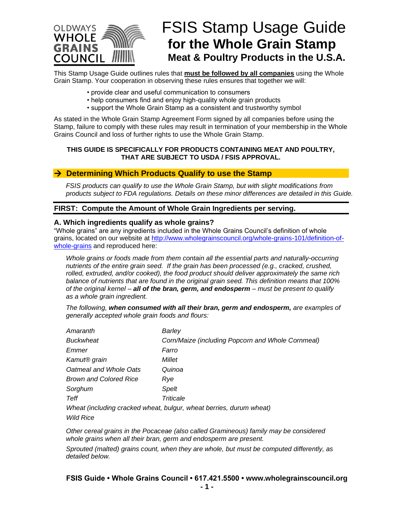

# FSIS Stamp Usage Guide **for the Whole Grain Stamp Meat & Poultry Products in the U.S.A.**

This Stamp Usage Guide outlines rules that **must be followed by all companies** using the Whole Grain Stamp. Your cooperation in observing these rules ensures that together we will:

- provide clear and useful communication to consumers
- help consumers find and enjoy high-quality whole grain products
- support the Whole Grain Stamp as a consistent and trustworthy symbol

As stated in the Whole Grain Stamp Agreement Form signed by all companies before using the Stamp, failure to comply with these rules may result in termination of your membership in the Whole Grains Council and loss of further rights to use the Whole Grain Stamp.

#### **THIS GUIDE IS SPECIFICALLY FOR PRODUCTS CONTAINING MEAT AND POULTRY, THAT ARE SUBJECT TO USDA / FSIS APPROVAL.**

### → **Determining Which Products Qualify to use the Stamp**

*FSIS products can qualify to use the Whole Grain Stamp, but with slight modifications from products subject to FDA regulations. Details on these minor differences are detailed in this Guide.*

## **FIRST: Compute the Amount of Whole Grain Ingredients per serving.**

#### **A. Which ingredients qualify as whole grains?**

"Whole grains" are any ingredients included in the Whole Grains Council's definition of whole grains, located on our website at [http://www.wholegrainscouncil.org/whole-grains-101/definition-of](http://www.wholegrainscouncil.org/whole-grains-101/definition-of-whole-grains)[whole-grains](http://www.wholegrainscouncil.org/whole-grains-101/definition-of-whole-grains) and reproduced here:

*Whole grains or foods made from them contain all the essential parts and naturally-occurring nutrients of the entire grain seed. If the grain has been processed (e.g., cracked, crushed, rolled, extruded, and/or cooked), the food product should deliver approximately the same rich balance of nutrients that are found in the original grain seed. This definition means that 100% of the original kernel – all of the bran, germ, and endosperm – must be present to qualify as a whole grain ingredient.*

*The following, when consumed with all their bran, germ and endosperm, are examples of generally accepted whole grain foods and flours:* 

| Barley                                            |
|---------------------------------------------------|
| Corn/Maize (including Popcorn and Whole Cornmeal) |
| Farro                                             |
| Millet                                            |
| Quinoa                                            |
| Rye                                               |
| Spelt                                             |
| Triticale                                         |
|                                                   |

*Wheat (including cracked wheat, bulgur, wheat berries, durum wheat) Wild Rice*

*Other cereal grains in the Pocaceae (also called Gramineous) family may be considered whole grains when all their bran, germ and endosperm are present.*

*Sprouted (malted) grains count, when they are whole, but must be computed differently, as detailed below.*

**FSIS Guide • Whole Grains Council • 617.421.5500 • www.wholegrainscouncil.org**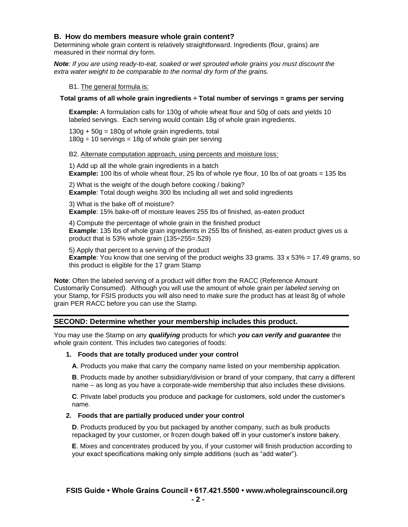## **B. How do members measure whole grain content?**

Determining whole grain content is relatively straightforward. Ingredients (flour, grains) are measured in their normal dry form.

*Note: If you are using ready-to-eat, soaked or wet sprouted whole grains you must discount the extra water weight to be comparable to the normal dry form of the grains.*

#### B1. The general formula is:

#### **Total grams of all whole grain ingredients ÷ Total number of servings = grams per serving**

**Example:** A formulation calls for 130g of whole wheat flour and 50g of oats and yields 10 labeled servings. Each serving would contain 18g of whole grain ingredients.

 $130g + 50g = 180g$  of whole grain ingredients, total  $180g \div 10$  servings = 18g of whole grain per serving

#### B2. Alternate computation approach, using percents and moisture loss:

1) Add up all the whole grain ingredients in a batch **Example:** 100 lbs of whole wheat flour, 25 lbs of whole rye flour, 10 lbs of oat groats = 135 lbs

2) What is the weight of the dough before cooking / baking? **Example**: Total dough weighs 300 lbs including all wet and solid ingredients

3) What is the bake off of moisture? **Example**: 15% bake-off of moisture leaves 255 lbs of finished, as-eaten product

4) Compute the percentage of whole grain in the finished product **Example**: 135 lbs of whole grain ingredients in 255 lbs of finished, as-eaten product gives us a product that is 53% whole grain (135÷255=.529)

5) Apply that percent to a serving of the product **Example**: You know that one serving of the product weighs 33 grams. 33 x 53% = 17.49 grams, so this product is eligible for the 17 gram Stamp

**Note**: Often the labeled serving of a product will differ from the RACC (Reference Amount Customarily Consumed). Although you will use the amount of whole grain per *labeled serving* on your Stamp, for FSIS products you will also need to make sure the product has at least 8g of whole grain PER RACC before you can use the Stamp.

## **SECOND: Determine whether your membership includes this product.**

You may use the Stamp on any *qualifying* products for which *you can verify and guarantee* the whole grain content. This includes two categories of foods:

#### **1. Foods that are totally produced under your control**

**A**. Products you make that carry the company name listed on your membership application.

**B**. Products made by another subsidiary/division or brand of your company, that carry a different name – as long as you have a corporate-wide membership that also includes these divisions.

**C**. Private label products you produce and package for customers, sold under the customer's name.

#### **2. Foods that are partially produced under your control**

**D**. Products produced by you but packaged by another company, such as bulk products repackaged by your customer, or frozen dough baked off in your customer's instore bakery.

**E**. Mixes and concentrates produced by you, if your customer will finish production according to your exact specifications making only simple additions (such as "add water").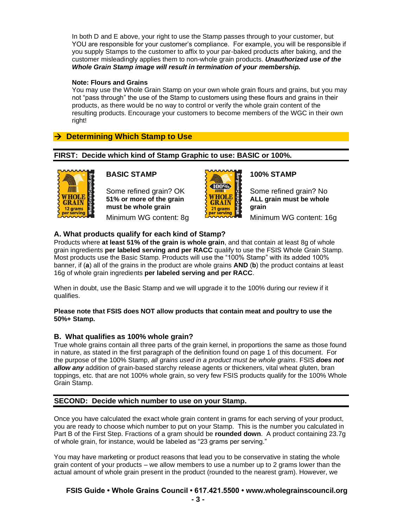In both D and E above, your right to use the Stamp passes through to your customer, but YOU are responsible for your customer's compliance. For example, you will be responsible if you supply Stamps to the customer to affix to your par-baked products after baking, and the customer misleadingly applies them to non-whole grain products. *Unauthorized use of the Whole Grain Stamp image will result in termination of your membership.*

## **Note: Flours and Grains**

You may use the Whole Grain Stamp on your own whole grain flours and grains, but you may not "pass through" the use of the Stamp to customers using these flours and grains in their products, as there would be no way to control or verify the whole grain content of the resulting products. Encourage your customers to become members of the WGC in their own right!

# → **Determining Which Stamp to Use**

## **FIRST: Decide which kind of Stamp Graphic to use: BASIC or 100%.**



## **BASIC STAMP**

Some refined grain? OK **51% or more of the grain must be whole grain** Minimum WG content: 8g



# **100% STAMP**

Some refined grain? No **ALL grain must be whole grain**

Minimum WG content: 16g

## **A. What products qualify for each kind of Stamp?**

Products where **at least 51% of the grain is whole grain**, and that contain at least 8g of whole grain ingredients **per labeled serving and per RACC** qualify to use the FSIS Whole Grain Stamp. Most products use the Basic Stamp. Products will use the "100% Stamp" with its added 100% banner, if (**a**) all of the grains in the product are whole grains **AND** (**b**) the product contains at least 16g of whole grain ingredients **per labeled serving and per RACC**.

When in doubt, use the Basic Stamp and we will upgrade it to the 100% during our review if it qualifies.

### **Please note that FSIS does NOT allow products that contain meat and poultry to use the 50%+ Stamp.**

## **B. What qualifies as 100% whole grain?**

True whole grains contain all three parts of the grain kernel, in proportions the same as those found in nature, as stated in the first paragraph of the definition found on page 1 of this document. For the purpose of the 100% Stamp, *all grains used in a product must be whole grains*. FSIS *does not allow any* addition of grain-based starchy release agents or thickeners, vital wheat gluten, bran toppings, etc. that are not 100% whole grain, so very few FSIS products qualify for the 100% Whole Grain Stamp.

## **SECOND: Decide which number to use on your Stamp.**

Once you have calculated the exact whole grain content in grams for each serving of your product, you are ready to choose which number to put on your Stamp. This is the number you calculated in Part B of the First Step. Fractions of a gram should be **rounded down**. A product containing 23.7g of whole grain, for instance, would be labeled as "23 grams per serving."

You may have marketing or product reasons that lead you to be conservative in stating the whole grain content of your products – we allow members to use a number up to 2 grams lower than the actual amount of whole grain present in the product (rounded to the nearest gram). However, we

# **FSIS Guide • Whole Grains Council • 617.421.5500 • www.wholegrainscouncil.org**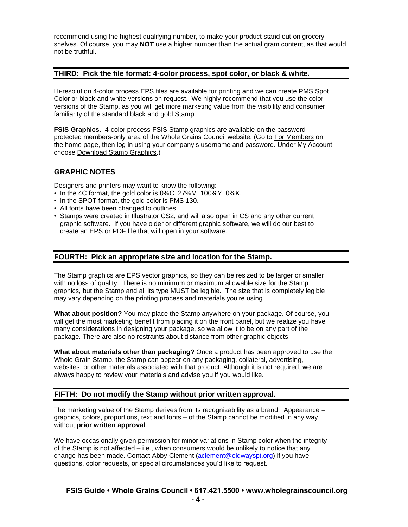recommend using the highest qualifying number, to make your product stand out on grocery shelves. Of course, you may **NOT** use a higher number than the actual gram content, as that would not be truthful.

## **THIRD: Pick the file format: 4-color process, spot color, or black & white.**

Hi-resolution 4-color process EPS files are available for printing and we can create PMS Spot Color or black-and-white versions on request. We highly recommend that you use the color versions of the Stamp, as you will get more marketing value from the visibility and consumer familiarity of the standard black and gold Stamp.

**FSIS Graphics**. 4-color process FSIS Stamp graphics are available on the passwordprotected members-only area of the Whole Grains Council website. (Go to For Members on the home page, then log in using your company's username and password. Under My Account choose Download Stamp Graphics.)

## **GRAPHIC NOTES**

Designers and printers may want to know the following:

- In the 4C format, the gold color is 0%C 27%M 100%Y 0%K.
- In the SPOT format, the gold color is PMS 130.
- All fonts have been changed to outlines.
- Stamps were created in Illustrator CS2, and will also open in CS and any other current graphic software. If you have older or different graphic software, we will do our best to create an EPS or PDF file that will open in your software.

### **FOURTH: Pick an appropriate size and location for the Stamp.**

The Stamp graphics are EPS vector graphics, so they can be resized to be larger or smaller with no loss of quality. There is no minimum or maximum allowable size for the Stamp graphics, but the Stamp and all its type MUST be legible. The size that is completely legible may vary depending on the printing process and materials you're using.

**What about position?** You may place the Stamp anywhere on your package. Of course, you will get the most marketing benefit from placing it on the front panel, but we realize you have many considerations in designing your package, so we allow it to be on any part of the package. There are also no restraints about distance from other graphic objects.

**What about materials other than packaging?** Once a product has been approved to use the Whole Grain Stamp, the Stamp can appear on any packaging, collateral, advertising, websites, or other materials associated with that product. Although it is not required, we are always happy to review your materials and advise you if you would like.

## **FIFTH: Do not modify the Stamp without prior written approval.**

The marketing value of the Stamp derives from its recognizability as a brand. Appearance – graphics, colors, proportions, text and fonts – of the Stamp cannot be modified in any way without **prior written approval**.

We have occasionally given permission for minor variations in Stamp color when the integrity of the Stamp is not affected – i.e., when consumers would be unlikely to notice that any change has been made. Contact Abby Clement [\(aclement@oldwayspt.org\)](mailto:aclement@oldwayspt.org) if you have questions, color requests, or special circumstances you'd like to request.

# **FSIS Guide • Whole Grains Council • 617.421.5500 • www.wholegrainscouncil.org**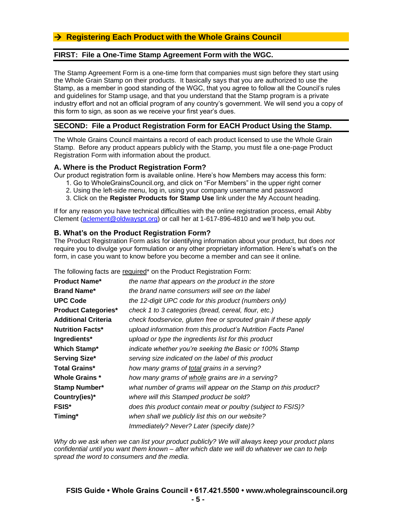## **FIRST: File a One-Time Stamp Agreement Form with the WGC.**

The Stamp Agreement Form is a one-time form that companies must sign before they start using the Whole Grain Stamp on their products. It basically says that you are authorized to use the Stamp, as a member in good standing of the WGC, that you agree to follow all the Council's rules and guidelines for Stamp usage, and that you understand that the Stamp program is a private industry effort and not an official program of any country's government. We will send you a copy of this form to sign, as soon as we receive your first year's dues.

## **SECOND: File a Product Registration Form for EACH Product Using the Stamp.**

The Whole Grains Council maintains a record of each product licensed to use the Whole Grain Stamp. Before any product appears publicly with the Stamp, you must file a one-page Product Registration Form with information about the product.

### **A. Where is the Product Registration Form?**

Our product registration form is available online. Here's how Members may access this form:

- 1. Go to WholeGrainsCouncil.org, and click on "For Members" in the upper right corner
- 2. Using the left-side menu, log in, using your company username and password
- 3. Click on the **Register Products for Stamp Use** link under the My Account heading.

If for any reason you have technical difficulties with the online registration process, email Abby Clement [\(aclement@oldwayspt.org\)](mailto:aclement@oldwayspt.org) or call her at 1-617-896-4810 and we'll help you out.

## **B. What's on the Product Registration Form?**

The Product Registration Form asks for identifying information about your product, but does *not* require you to divulge your formulation or any other proprietary information. Here's what's on the form, in case you want to know before you become a member and can see it online.

The following facts are required\* on the Product Registration Form:

| <b>Product Name*</b>       | the name that appears on the product in the store               |
|----------------------------|-----------------------------------------------------------------|
| <b>Brand Name*</b>         | the brand name consumers will see on the label                  |
| <b>UPC Code</b>            | the 12-digit UPC code for this product (numbers only)           |
| <b>Product Categories*</b> | check 1 to 3 categories (bread, cereal, flour, etc.)            |
| <b>Additional Criteria</b> | check foodservice, gluten free or sprouted grain if these apply |
| <b>Nutrition Facts*</b>    | upload information from this product's Nutrition Facts Panel    |
| Ingredients*               | upload or type the ingredients list for this product            |
| <b>Which Stamp*</b>        | indicate whether you're seeking the Basic or 100% Stamp         |
| Serving Size*              | serving size indicated on the label of this product             |
| <b>Total Grains*</b>       | how many grams of total grains in a serving?                    |
| <b>Whole Grains *</b>      | how many grams of whole grains are in a serving?                |
| <b>Stamp Number*</b>       | what number of grams will appear on the Stamp on this product?  |
| Country(ies)*              | where will this Stamped product be sold?                        |
| <b>FSIS*</b>               | does this product contain meat or poultry (subject to FSIS)?    |
| Timing*                    | when shall we publicly list this on our website?                |
|                            | Immediately? Never? Later (specify date)?                       |

*Why do we ask when we can list your product publicly? We will always keep your product plans confidential until you want them known – after which date we will do whatever we can to help spread the word to consumers and the media.*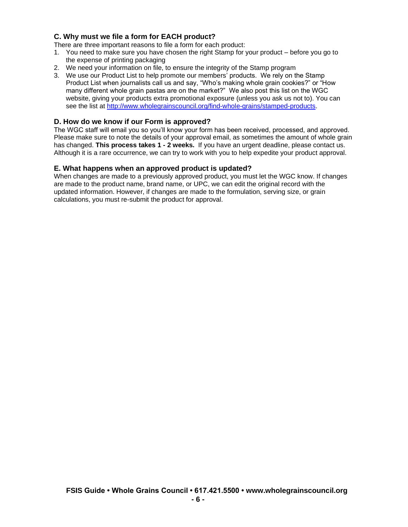# **C. Why must we file a form for EACH product?**

There are three important reasons to file a form for each product:

- 1. You need to make sure you have chosen the right Stamp for your product before you go to the expense of printing packaging
- 2. We need your information on file, to ensure the integrity of the Stamp program
- 3. We use our Product List to help promote our members' products. We rely on the Stamp Product List when journalists call us and say, "Who's making whole grain cookies?" or "How many different whole grain pastas are on the market?" We also post this list on the WGC website, giving your products extra promotional exposure (unless you ask us not to). You can see the list at [http://www.wholegrainscouncil.org/find-whole-grains/stamped-products.](http://www.wholegrainscouncil.org/find-whole-grains/stamped-products)

## **D. How do we know if our Form is approved?**

The WGC staff will email you so you'll know your form has been received, processed, and approved. Please make sure to note the details of your approval email, as sometimes the amount of whole grain has changed. **This process takes 1 - 2 weeks.** If you have an urgent deadline, please contact us. Although it is a rare occurrence, we can try to work with you to help expedite your product approval.

## **E. What happens when an approved product is updated?**

When changes are made to a previously approved product, you must let the WGC know. If changes are made to the product name, brand name, or UPC, we can edit the original record with the updated information. However, if changes are made to the formulation, serving size, or grain calculations, you must re-submit the product for approval.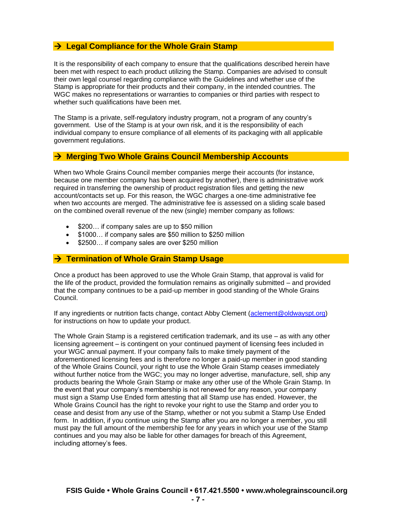## → **Legal Compliance for the Whole Grain Stamp**

It is the responsibility of each company to ensure that the qualifications described herein have been met with respect to each product utilizing the Stamp. Companies are advised to consult their own legal counsel regarding compliance with the Guidelines and whether use of the Stamp is appropriate for their products and their company, in the intended countries. The WGC makes no representations or warranties to companies or third parties with respect to whether such qualifications have been met.

The Stamp is a private, self-regulatory industry program, not a program of any country's government. Use of the Stamp is at your own risk, and it is the responsibility of each individual company to ensure compliance of all elements of its packaging with all applicable government regulations.

## → **Merging Two Whole Grains Council Membership Accounts**

When two Whole Grains Council member companies merge their accounts (for instance, because one member company has been acquired by another), there is administrative work required in transferring the ownership of product registration files and getting the new account/contacts set up. For this reason, the WGC charges a one-time administrative fee when two accounts are merged. The administrative fee is assessed on a sliding scale based on the combined overall revenue of the new (single) member company as follows:

- \$200... if company sales are up to \$50 million
- \$1000… if company sales are \$50 million to \$250 million
- \$2500... if company sales are over \$250 million

## → **Termination of Whole Grain Stamp Usage**

Once a product has been approved to use the Whole Grain Stamp, that approval is valid for the life of the product, provided the formulation remains as originally submitted – and provided that the company continues to be a paid-up member in good standing of the Whole Grains Council.

If any ingredients or nutrition facts change, contact Abby Clement [\(aclement@oldwayspt.org\)](mailto:aclement@oldwayspt.org) for instructions on how to update your product.

The Whole Grain Stamp is a registered certification trademark, and its use – as with any other licensing agreement – is contingent on your continued payment of licensing fees included in your WGC annual payment. If your company fails to make timely payment of the aforementioned licensing fees and is therefore no longer a paid-up member in good standing of the Whole Grains Council, your right to use the Whole Grain Stamp ceases immediately without further notice from the WGC; you may no longer advertise, manufacture, sell, ship any products bearing the Whole Grain Stamp or make any other use of the Whole Grain Stamp. In the event that your company's membership is not renewed for any reason, your company must sign a Stamp Use Ended form attesting that all Stamp use has ended. However, the Whole Grains Council has the right to revoke your right to use the Stamp and order you to cease and desist from any use of the Stamp, whether or not you submit a Stamp Use Ended form. In addition, if you continue using the Stamp after you are no longer a member, you still must pay the full amount of the membership fee for any years in which your use of the Stamp continues and you may also be liable for other damages for breach of this Agreement, including attorney's fees.